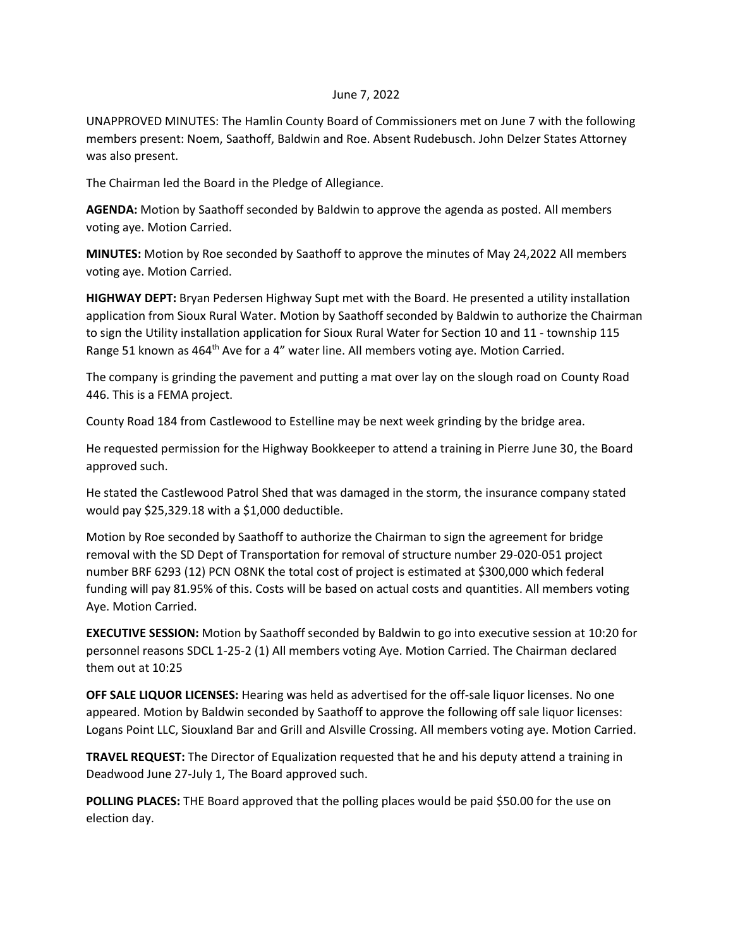## June 7, 2022

UNAPPROVED MINUTES: The Hamlin County Board of Commissioners met on June 7 with the following members present: Noem, Saathoff, Baldwin and Roe. Absent Rudebusch. John Delzer States Attorney was also present.

The Chairman led the Board in the Pledge of Allegiance.

**AGENDA:** Motion by Saathoff seconded by Baldwin to approve the agenda as posted. All members voting aye. Motion Carried.

**MINUTES:** Motion by Roe seconded by Saathoff to approve the minutes of May 24,2022 All members voting aye. Motion Carried.

**HIGHWAY DEPT:** Bryan Pedersen Highway Supt met with the Board. He presented a utility installation application from Sioux Rural Water. Motion by Saathoff seconded by Baldwin to authorize the Chairman to sign the Utility installation application for Sioux Rural Water for Section 10 and 11 - township 115 Range 51 known as 464<sup>th</sup> Ave for a 4" water line. All members voting aye. Motion Carried.

The company is grinding the pavement and putting a mat over lay on the slough road on County Road 446. This is a FEMA project.

County Road 184 from Castlewood to Estelline may be next week grinding by the bridge area.

He requested permission for the Highway Bookkeeper to attend a training in Pierre June 30, the Board approved such.

He stated the Castlewood Patrol Shed that was damaged in the storm, the insurance company stated would pay \$25,329.18 with a \$1,000 deductible.

Motion by Roe seconded by Saathoff to authorize the Chairman to sign the agreement for bridge removal with the SD Dept of Transportation for removal of structure number 29-020-051 project number BRF 6293 (12) PCN O8NK the total cost of project is estimated at \$300,000 which federal funding will pay 81.95% of this. Costs will be based on actual costs and quantities. All members voting Aye. Motion Carried.

**EXECUTIVE SESSION:** Motion by Saathoff seconded by Baldwin to go into executive session at 10:20 for personnel reasons SDCL 1-25-2 (1) All members voting Aye. Motion Carried. The Chairman declared them out at 10:25

**OFF SALE LIQUOR LICENSES:** Hearing was held as advertised for the off-sale liquor licenses. No one appeared. Motion by Baldwin seconded by Saathoff to approve the following off sale liquor licenses: Logans Point LLC, Siouxland Bar and Grill and Alsville Crossing. All members voting aye. Motion Carried.

**TRAVEL REQUEST:** The Director of Equalization requested that he and his deputy attend a training in Deadwood June 27-July 1, The Board approved such.

**POLLING PLACES:** THE Board approved that the polling places would be paid \$50.00 for the use on election day.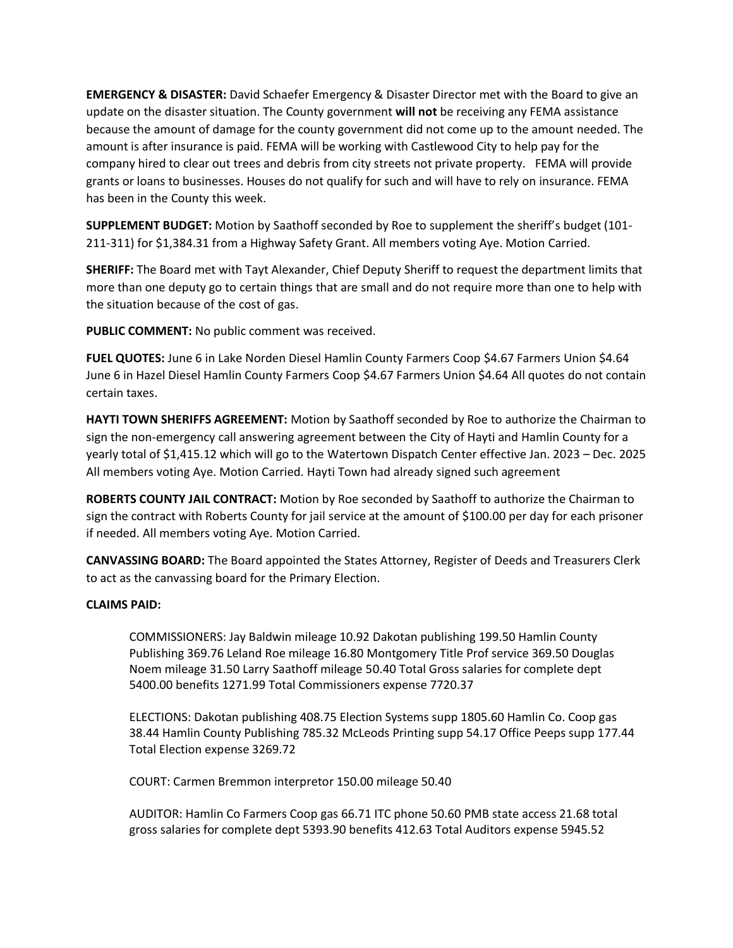**EMERGENCY & DISASTER:** David Schaefer Emergency & Disaster Director met with the Board to give an update on the disaster situation. The County government **will not** be receiving any FEMA assistance because the amount of damage for the county government did not come up to the amount needed. The amount is after insurance is paid. FEMA will be working with Castlewood City to help pay for the company hired to clear out trees and debris from city streets not private property. FEMA will provide grants or loans to businesses. Houses do not qualify for such and will have to rely on insurance. FEMA has been in the County this week.

**SUPPLEMENT BUDGET:** Motion by Saathoff seconded by Roe to supplement the sheriff's budget (101- 211-311) for \$1,384.31 from a Highway Safety Grant. All members voting Aye. Motion Carried.

**SHERIFF:** The Board met with Tayt Alexander, Chief Deputy Sheriff to request the department limits that more than one deputy go to certain things that are small and do not require more than one to help with the situation because of the cost of gas.

**PUBLIC COMMENT:** No public comment was received.

**FUEL QUOTES:** June 6 in Lake Norden Diesel Hamlin County Farmers Coop \$4.67 Farmers Union \$4.64 June 6 in Hazel Diesel Hamlin County Farmers Coop \$4.67 Farmers Union \$4.64 All quotes do not contain certain taxes.

**HAYTI TOWN SHERIFFS AGREEMENT:** Motion by Saathoff seconded by Roe to authorize the Chairman to sign the non-emergency call answering agreement between the City of Hayti and Hamlin County for a yearly total of \$1,415.12 which will go to the Watertown Dispatch Center effective Jan. 2023 – Dec. 2025 All members voting Aye. Motion Carried. Hayti Town had already signed such agreement

**ROBERTS COUNTY JAIL CONTRACT:** Motion by Roe seconded by Saathoff to authorize the Chairman to sign the contract with Roberts County for jail service at the amount of \$100.00 per day for each prisoner if needed. All members voting Aye. Motion Carried.

**CANVASSING BOARD:** The Board appointed the States Attorney, Register of Deeds and Treasurers Clerk to act as the canvassing board for the Primary Election.

## **CLAIMS PAID:**

COMMISSIONERS: Jay Baldwin mileage 10.92 Dakotan publishing 199.50 Hamlin County Publishing 369.76 Leland Roe mileage 16.80 Montgomery Title Prof service 369.50 Douglas Noem mileage 31.50 Larry Saathoff mileage 50.40 Total Gross salaries for complete dept 5400.00 benefits 1271.99 Total Commissioners expense 7720.37

ELECTIONS: Dakotan publishing 408.75 Election Systems supp 1805.60 Hamlin Co. Coop gas 38.44 Hamlin County Publishing 785.32 McLeods Printing supp 54.17 Office Peeps supp 177.44 Total Election expense 3269.72

COURT: Carmen Bremmon interpretor 150.00 mileage 50.40

AUDITOR: Hamlin Co Farmers Coop gas 66.71 ITC phone 50.60 PMB state access 21.68 total gross salaries for complete dept 5393.90 benefits 412.63 Total Auditors expense 5945.52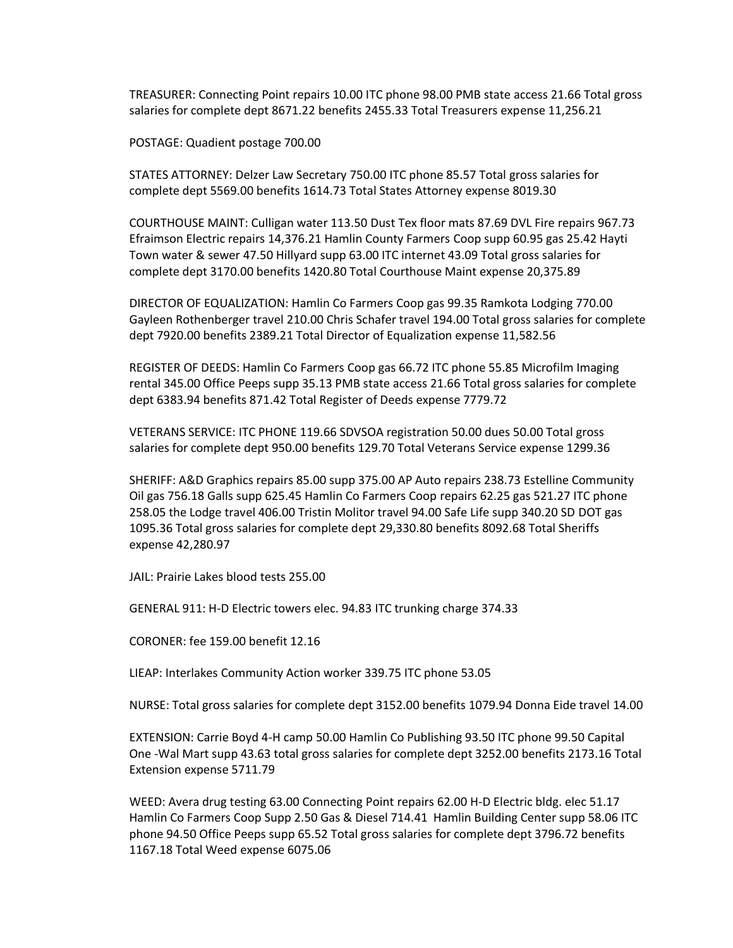TREASURER: Connecting Point repairs 10.00 ITC phone 98.00 PMB state access 21.66 Total gross salaries for complete dept 8671.22 benefits 2455.33 Total Treasurers expense 11,256.21

POSTAGE: Quadient postage 700.00

STATES ATTORNEY: Delzer Law Secretary 750.00 ITC phone 85.57 Total gross salaries for complete dept 5569.00 benefits 1614.73 Total States Attorney expense 8019.30

COURTHOUSE MAINT: Culligan water 113.50 Dust Tex floor mats 87.69 DVL Fire repairs 967.73 Efraimson Electric repairs 14,376.21 Hamlin County Farmers Coop supp 60.95 gas 25.42 Hayti Town water & sewer 47.50 Hillyard supp 63.00 ITC internet 43.09 Total gross salaries for complete dept 3170.00 benefits 1420.80 Total Courthouse Maint expense 20,375.89

DIRECTOR OF EQUALIZATION: Hamlin Co Farmers Coop gas 99.35 Ramkota Lodging 770.00 Gayleen Rothenberger travel 210.00 Chris Schafer travel 194.00 Total gross salaries for complete dept 7920.00 benefits 2389.21 Total Director of Equalization expense 11,582.56

REGISTER OF DEEDS: Hamlin Co Farmers Coop gas 66.72 ITC phone 55.85 Microfilm Imaging rental 345.00 Office Peeps supp 35.13 PMB state access 21.66 Total gross salaries for complete dept 6383.94 benefits 871.42 Total Register of Deeds expense 7779.72

VETERANS SERVICE: ITC PHONE 119.66 SDVSOA registration 50.00 dues 50.00 Total gross salaries for complete dept 950.00 benefits 129.70 Total Veterans Service expense 1299.36

SHERIFF: A&D Graphics repairs 85.00 supp 375.00 AP Auto repairs 238.73 Estelline Community Oil gas 756.18 Galls supp 625.45 Hamlin Co Farmers Coop repairs 62.25 gas 521.27 ITC phone 258.05 the Lodge travel 406.00 Tristin Molitor travel 94.00 Safe Life supp 340.20 SD DOT gas 1095.36 Total gross salaries for complete dept 29,330.80 benefits 8092.68 Total Sheriffs expense 42,280.97

JAIL: Prairie Lakes blood tests 255.00

GENERAL 911: H-D Electric towers elec. 94.83 ITC trunking charge 374.33

CORONER: fee 159.00 benefit 12.16

LIEAP: Interlakes Community Action worker 339.75 ITC phone 53.05

NURSE: Total gross salaries for complete dept 3152.00 benefits 1079.94 Donna Eide travel 14.00

EXTENSION: Carrie Boyd 4-H camp 50.00 Hamlin Co Publishing 93.50 ITC phone 99.50 Capital One -Wal Mart supp 43.63 total gross salaries for complete dept 3252.00 benefits 2173.16 Total Extension expense 5711.79

WEED: Avera drug testing 63.00 Connecting Point repairs 62.00 H-D Electric bldg. elec 51.17 Hamlin Co Farmers Coop Supp 2.50 Gas & Diesel 714.41 Hamlin Building Center supp 58.06 ITC phone 94.50 Office Peeps supp 65.52 Total gross salaries for complete dept 3796.72 benefits 1167.18 Total Weed expense 6075.06